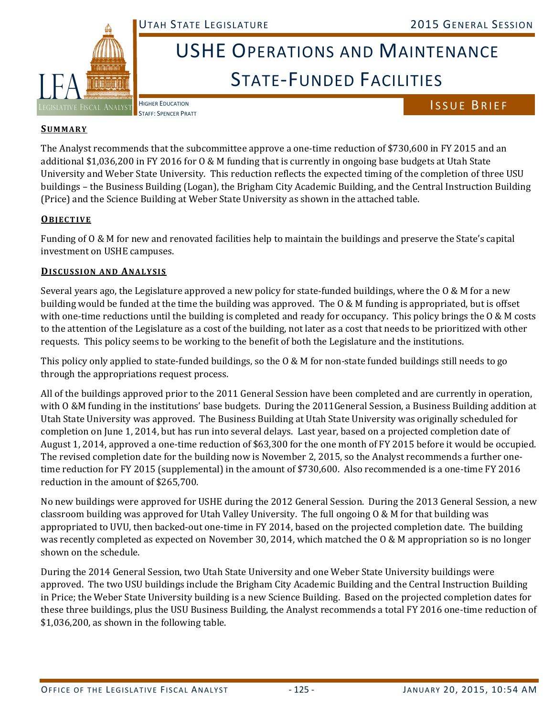

# USHE OPERATIONS AND MAINTENANCE STATE‐FUNDED FACILITIES

## HIGHER EDUCATION<br>STAFF: SPENCER PRATT

### **SUMMARY**

The Analyst recommends that the subcommittee approve a one-time reduction of \$730,600 in FY 2015 and an additional \$1,036,200 in FY 2016 for  $0 \& M$  funding that is currently in ongoing base budgets at Utah State University and Weber State University. This reduction reflects the expected timing of the completion of three USU buildings – the Business Building (Logan), the Brigham City Academic Building, and the Central Instruction Building (Price) and the Science Building at Weber State University as shown in the attached table.

#### **OBJECTIVE**

Funding of O & M for new and renovated facilities help to maintain the buildings and preserve the State's capital investment on USHE campuses.

#### **DISCUSSION AND ANALYSIS**

Several years ago, the Legislature approved a new policy for state-funded buildings, where the  $0 \& M$  for a new building would be funded at the time the building was approved. The O & M funding is appropriated, but is offset with one-time reductions until the building is completed and ready for occupancy. This policy brings the  $0 \& M$  costs to the attention of the Legislature as a cost of the building, not later as a cost that needs to be prioritized with other requests. This policy seems to be working to the benefit of both the Legislature and the institutions.

This policy only applied to state-funded buildings, so the  $0 \& M$  for non-state funded buildings still needs to go through the appropriations request process.

All of the buildings approved prior to the 2011 General Session have been completed and are currently in operation, with  $O$  &M funding in the institutions' base budgets. During the  $2011$ General Session, a Business Building addition at Utah State University was approved. The Business Building at Utah State University was originally scheduled for completion on June 1, 2014, but has run into several delays. Last year, based on a projected completion date of August 1, 2014, approved a one-time reduction of \$63,300 for the one month of FY 2015 before it would be occupied. The revised completion date for the building now is November 2, 2015, so the Analyst recommends a further onetime reduction for FY 2015 (supplemental) in the amount of \$730,600. Also recommended is a one-time FY 2016 reduction in the amount of \$265,700.

No new buildings were approved for USHE during the 2012 General Session. During the 2013 General Session, a new classroom building was approved for Utah Valley University. The full ongoing  $O & M$  for that building was appropriated to UVU, then backed-out one-time in FY 2014, based on the projected completion date. The building was recently completed as expected on November 30, 2014, which matched the  $\alpha \& M$  appropriation so is no longer shown on the schedule.

During the 2014 General Session, two Utah State University and one Weber State University buildings were approved. The two USU buildings include the Brigham City Academic Building and the Central Instruction Building in Price; the Weber State University building is a new Science Building. Based on the projected completion dates for these three buildings, plus the USU Business Building, the Analyst recommends a total FY 2016 one-time reduction of  $$1,036,200$ , as shown in the following table.

HIGHER EDUCATION